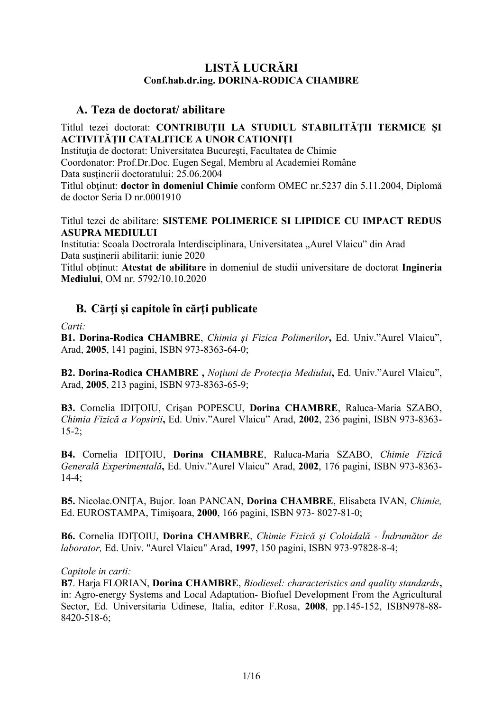# **LISTĂ LUCRĂRI Conf.hab.dr.ing. DORINA-RODICA CHAMBRE**

### **A. Teza de doctorat/ abilitare**

#### Titlul tezei doctorat: **CONTRIBUŢII LA STUDIUL STABILITĂŢII TERMICE ŞI ACTIVITĂŢII CATALITICE A UNOR CATIONIŢI**

Instituţia de doctorat: Universitatea Bucureşti, Facultatea de Chimie Coordonator: Prof.Dr.Doc. Eugen Segal, Membru al Academiei Române Data sustinerii doctoratului: 25.06.2004 Titlul obţinut: **doctor în domeniul Chimie** conform OMEC nr.5237 din 5.11.2004, Diplomă de doctor Seria D nr.0001910

#### Titlul tezei de abilitare: **SISTEME POLIMERICE SI LIPIDICE CU IMPACT REDUS ASUPRA MEDIULUI**

Institutia: Scoala Doctrorala Interdisciplinara, Universitatea "Aurel Vlaicu" din Arad Data sustinerii abilitarii: iunie 2020

Titlul obţinut: **Atestat de abilitare** in domeniul de studii universitare de doctorat **Ingineria Mediului**, OM nr. 5792/10.10.2020

### **B. Cărţi și capitole în cărți publicate**

*Carti:*

**B1. Dorina-Rodica CHAMBRE**, *Chimia şi Fizica Polimerilor***,** Ed. Univ."Aurel Vlaicu", Arad, **2005**, 141 pagini, ISBN 973-8363-64-0;

**B2. Dorina-Rodica CHAMBRE ,** *Noţiuni de Protecţia Mediului***,** Ed. Univ."Aurel Vlaicu", Arad, **2005**, 213 pagini, ISBN 973-8363-65-9;

**B3.** Cornelia IDIŢOIU, Crişan POPESCU, **Dorina CHAMBRE**, Raluca-Maria SZABO, *Chimia Fizică a Vopsirii***,** Ed. Univ."Aurel Vlaicu" Arad, **2002**, 236 pagini, ISBN 973-8363-  $15-2$ ;

**B4.** Cornelia IDIŢOIU, **Dorina CHAMBRE**, Raluca-Maria SZABO, *Chimie Fizică Generală Experimentală***,** Ed. Univ."Aurel Vlaicu" Arad, **2002**, 176 pagini, ISBN 973-8363- 14-4;

**B5.** Nicolae.ONIŢA, Bujor. Ioan PANCAN, **Dorina CHAMBRE**, Elisabeta IVAN, *Chimie,* Ed. EUROSTAMPA, Timişoara, **2000**, 166 pagini, ISBN 973- 8027-81-0;

**B6.** Cornelia IDIŢOIU, **Dorina CHAMBRE**, *Chimie Fizică şi Coloidală - Îndrumător de laborator,* Ed. Univ. "Aurel Vlaicu" Arad, **1997**, 150 pagini, ISBN 973-97828-8-4;

#### *Capitole in carti:*

**B7**. Harja FLORIAN, **Dorina CHAMBRE**, *Biodiesel: characteristics and quality standards***,** in: Agro-energy Systems and Local Adaptation- Biofuel Development From the Agricultural Sector, Ed. Universitaria Udinese, Italia, editor F.Rosa, **2008**, pp.145-152, ISBN978-88- 8420-518-6;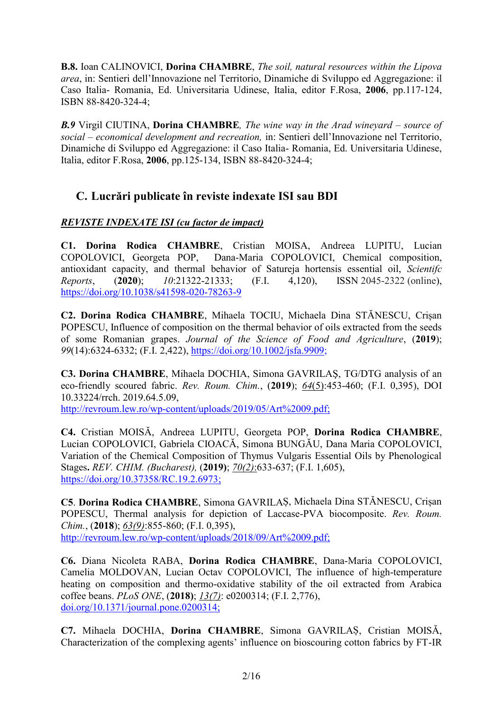**B.8.** Ioan CALINOVICI, **Dorina CHAMBRE**, *The soil, natural resources within the Lipova area*, in: Sentieri dell'Innovazione nel Territorio, Dinamiche di Sviluppo ed Aggregazione: il Caso Italia- Romania, Ed. Universitaria Udinese, Italia, editor F.Rosa, **2006**, pp.117-124, ISBN 88-8420-324-4;

*B.9* Virgil CIUTINA, **Dorina CHAMBRE***, The wine way in the Arad wineyard – source of social – economical development and recreation,* in: Sentieri dell'Innovazione nel Territorio, Dinamiche di Sviluppo ed Aggregazione: il Caso Italia- Romania, Ed. Universitaria Udinese, Italia, editor F.Rosa, **2006**, pp.125-134, ISBN 88-8420-324-4;

# **C. Lucrări publicate în reviste indexate ISI sau BDI**

#### *REVISTE INDEXATE ISI (cu factor de impact)*

**C1. Dorina Rodica CHAMBRE**, Cristian MOISA, Andreea LUPITU, Lucian COPOLOVICI, Georgeta POP, Dana-Maria COPOLOVICI, Chemical composition, antioxidant capacity, and thermal behavior of Satureja hortensis essential oil, *Scientifc Reports*, (**2020**); *10*:21322-21333; (F.I. 4,120), ISSN 2045-2322 (online), https://doi.org/10.1038/s41598-020-78263-9

**C2. Dorina Rodica CHAMBRE**, Mihaela TOCIU, Michaela Dina STĂNESCU, Crișan POPESCU, Influence of composition on the thermal behavior of oils extracted from the seeds of some Romanian grapes. *Journal of the Science of Food and Agriculture*, (**2019**); *99*(14):6324-6332; (F.I. 2,422), https://doi.org/10.1002/jsfa.9909;

**C3. Dorina CHAMBRE**, Mihaela DOCHIA, Simona GAVRILAŞ, TG/DTG analysis of an eco-friendly scoured fabric. *Rev. Roum. Chim.*, (**2019**); *64*(5):453-460; (F.I. 0,395), DOI 10.33224/rrch. 2019.64.5.09,

http://revroum.lew.ro/wp-content/uploads/2019/05/Art%2009.pdf;

**C4.** Cristian MOISĂ, Andreea LUPITU, Georgeta POP, **Dorina Rodica CHAMBRE**, Lucian COPOLOVICI, Gabriela CIOACĂ, Simona BUNGĂU, Dana Maria COPOLOVICI, Variation of the Chemical Composition of Thymus Vulgaris Essential Oils by Phenological Stages**.** *REV. CHIM. (Bucharest),* (**2019)**; *70(2)*:633-637; (F.I. 1,605), https://doi.org/10.37358/RC.19.2.6973;

**C5**. **Dorina Rodica CHAMBRE**, Simona GAVRILAȘ, Michaela Dina STĂNESCU, Crișan POPESCU, Thermal analysis for depiction of Laccase-PVA biocomposite. *Rev. Roum. Chim.*, (**2018**); *63(9)*:855-860; (F.I. 0,395), http://revroum.lew.ro/wp-content/uploads/2018/09/Art%2009.pdf;

**C6.** Diana Nicoleta RABA, **Dorina Rodica CHAMBRE**, Dana-Maria COPOLOVICI, Camelia MOLDOVAN, Lucian Octav COPOLOVICI, The influence of high-temperature heating on composition and thermo-oxidative stability of the oil extracted from Arabica coffee beans. *PLoS ONE*, (**2018)**; *13(7)*: e0200314; (F.I. 2,776), doi.org/10.1371/journal.pone.0200314;

**C7.** Mihaela DOCHIA, **Dorina CHAMBRE**, Simona GAVRILAȘ, Cristian MOISĂ, Characterization of the complexing agents' influence on bioscouring cotton fabrics by FT-IR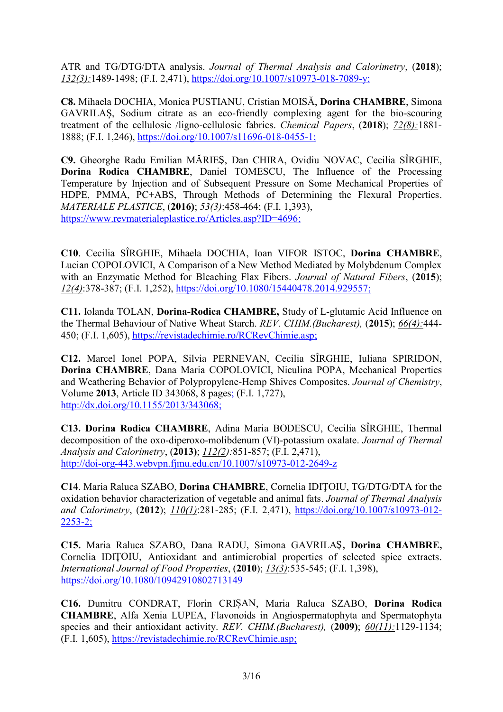ATR and TG/DTG/DTA analysis. *Journal of Thermal Analysis and Calorimetry*, (**2018**); *132(3):*1489-1498; (F.I. 2,471), https://doi.org/10.1007/s10973-018-7089-y;

**C8.** Mihaela DOCHIA, Monica PUSTIANU, Cristian MOISĂ, **Dorina CHAMBRE**, Simona GAVRILAȘ, Sodium citrate as an eco-friendly complexing agent for the bio-scouring treatment of the cellulosic /ligno-cellulosic fabrics. *Chemical Papers*, (**2018**); *72(8):*1881- 1888; (F.I. 1,246), https://doi.org/10.1007/s11696-018-0455-1;

**C9.** Gheorghe Radu Emilian MĂRIEȘ, Dan CHIRA, Ovidiu NOVAC, Cecilia SÎRGHIE, **Dorina Rodica CHAMBRE**, Daniel TOMESCU, The Influence of the Processing Temperature by Injection and of Subsequent Pressure on Some Mechanical Properties of HDPE, PMMA, PC+ABS, Through Methods of Determining the Flexural Properties. *MATERIALE PLASTICE*, (**2016)**; *53(3)*:458-464; (F.I. 1,393), https://www.revmaterialeplastice.ro/Articles.asp?ID=4696;

**C10**. Cecilia SÎRGHIE, Mihaela DOCHIA, Ioan VIFOR ISTOC, **Dorina CHAMBRE**, Lucian COPOLOVICI, A Comparison of a New Method Mediated by Molybdenum Complex with an Enzymatic Method for Bleaching Flax Fibers. *Journal of Natural Fibers*, (**2015**); *12(4)*:378-387; (F.I. 1,252), https://doi.org/10.1080/15440478.2014.929557;

**C11.** Iolanda TOLAN, **Dorina-Rodica CHAMBRE,** Study of L-glutamic Acid Influence on the Thermal Behaviour of Native Wheat Starch. *REV. CHIM.(Bucharest),* (**2015**); *66(4):*444- 450; (F.I. 1,605), https://revistadechimie.ro/RCRevChimie.asp;

**C12.** Marcel Ionel POPA, Silvia PERNEVAN, Cecilia SÎRGHIE, Iuliana SPIRIDON, **Dorina CHAMBRE**, Dana Maria COPOLOVICI, Niculina POPA, Mechanical Properties and Weathering Behavior of Polypropylene-Hemp Shives Composites. *Journal of Chemistry*, Volume **2013**, Article ID 343068, 8 pages; (F.I. 1,727), http://dx.doi.org/10.1155/2013/343068;

**C13. Dorina Rodica CHAMBRE**, Adina Maria BODESCU, Cecilia SÎRGHIE, Thermal decomposition of the oxo-diperoxo-molibdenum (VI)-potassium oxalate. *Journal of Thermal Analysis and Calorimetry*, (**2013)**; *112(2):*851-857; (F.I. 2,471), http://doi-org-443.webvpn.fjmu.edu.cn/10.1007/s10973-012-2649-z

**C14**. Maria Raluca SZABO, **Dorina CHAMBRE**, Cornelia IDIŢOIU, TG/DTG/DTA for the oxidation behavior characterization of vegetable and animal fats. *Journal of Thermal Analysis and Calorimetry*, (**2012**); *110(1)*:281-285; (F.I. 2,471), https://doi.org/10.1007/s10973-012- 2253-2;

**C15.** Maria Raluca SZABO, Dana RADU, Simona GAVRILAȘ**, Dorina CHAMBRE,** Cornelia IDIȚOIU, Antioxidant and antimicrobial properties of selected spice extracts. *International Journal of Food Properties*, (**2010**); *13(3)*:535-545; (F.I. 1,398), https://doi.org/10.1080/10942910802713149

**C16.** Dumitru CONDRAT, Florin CRIȘAN, Maria Raluca SZABO, **Dorina Rodica CHAMBRE**, Alfa Xenia LUPEA, Flavonoids in Angiospermatophyta and Spermatophyta species and their antioxidant activity. *REV. CHIM.(Bucharest),* (**2009)**; *60(11):*1129-1134; (F.I. 1,605), https://revistadechimie.ro/RCRevChimie.asp;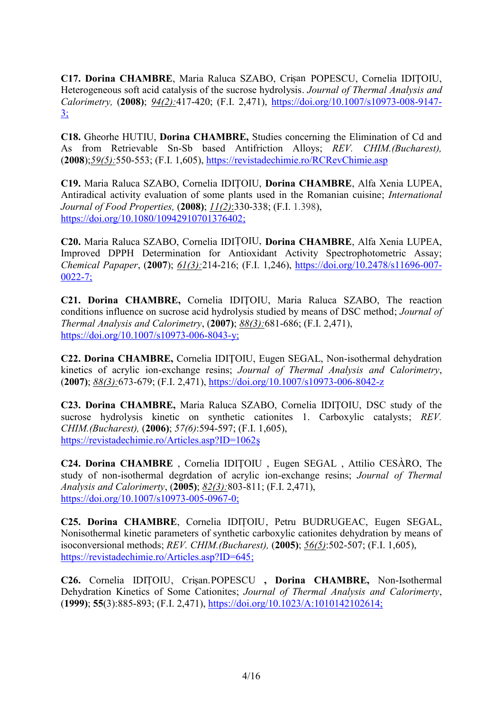**C17. Dorina CHAMBRE**, Maria Raluca SZABO, Crișan POPESCU, Cornelia IDIŢOIU, Heterogeneous soft acid catalysis of the sucrose hydrolysis. *Journal of Thermal Analysis and Calorimetry,* (**2008)**; *94(2):*417-420; (F.I. 2,471), https://doi.org/10.1007/s10973-008-9147-  $3:$ 

**C18.** Gheorhe HUTIU, **Dorina CHAMBRE,** Studies concerning the Elimination of Cd and As from Retrievable Sn-Sb based Antifriction Alloys; *REV. CHIM.(Bucharest),* (**2008**);*59(5):*550-553; (F.I. 1,605), https://revistadechimie.ro/RCRevChimie.asp

**C19.** Maria Raluca SZABO, Cornelia IDIŢOIU, **Dorina CHAMBRE**, Alfa Xenia LUPEA, Antiradical activity evaluation of some plants used in the Romanian cuisine; *International Journal of Food Properties,* (**2008)**; *11(2)*:330-338; (F.I. 1.398), https://doi.org/10.1080/10942910701376402;

**C20.** Maria Raluca SZABO, Cornelia IDIȚOIU, **Dorina CHAMBRE**, Alfa Xenia LUPEA, Improved DPPH Determination for Antioxidant Activity Spectrophotometric Assay; *Chemical Papaper*, (**2007**); *61(3):*214-216; (F.I. 1,246), https://doi.org/10.2478/s11696-007- 0022-7;

**C21. Dorina CHAMBRE,** Cornelia IDIŢOIU, Maria Raluca SZABO, The reaction conditions influence on sucrose acid hydrolysis studied by means of DSC method; *Journal of Thermal Analysis and Calorimetry*, (**2007)**; *88(3):*681-686; (F.I. 2,471), https://doi.org/10.1007/s10973-006-8043-y;

**C22. Dorina CHAMBRE,** Cornelia IDIŢOIU, Eugen SEGAL, Non-isothermal dehydration kinetics of acrylic ion-exchange resins; *Journal of Thermal Analysis and Calorimetry*, (**2007)**; *88(3):*673-679; (F.I. 2,471), https://doi.org/10.1007/s10973-006-8042-z

**C23. Dorina CHAMBRE,** Maria Raluca SZABO, Cornelia IDIŢOIU, DSC study of the sucrose hydrolysis kinetic on synthetic cationites 1. Carboxylic catalysts; *REV. CHIM.(Bucharest),* (**2006)**; *57(6)*:594-597; (F.I. 1,605), https://revistadechimie.ro/Articles.asp?ID=1062ș

**C24. Dorina CHAMBRE** , Cornelia IDIŢOIU , Eugen SEGAL , Attilio CESÀRO, The study of non-isothermal degrdation of acrylic ion-exchange resins; *Journal of Thermal Analysis and Calorimerty*, (**2005)**; *82(3):*803-811; (F.I. 2,471), https://doi.org/10.1007/s10973-005-0967-0;

**C25. Dorina CHAMBRE**, Cornelia IDIȚOIU, Petru BUDRUGEAC, Eugen SEGAL, Nonisothermal kinetic parameters of synthetic carboxylic cationites dehydration by means of isoconversional methods; *REV. CHIM.(Bucharest),* (**2005)**; *56(5)*:502-507; (F.I. 1,605), https://revistadechimie.ro/Articles.asp?ID=645;

**C26.** Cornelia IDIȚOIU, Crișan.POPESCU **, Dorina CHAMBRE,** Non-Isothermal Dehydration Kinetics of Some Cationites; *Journal of Thermal Analysis and Calorimerty*, (**1999)**; **55**(3):885-893; (F.I. 2,471), https://doi.org/10.1023/A:1010142102614;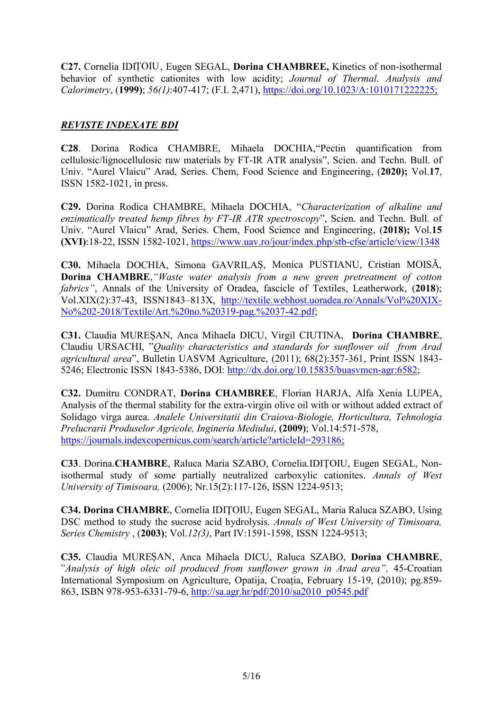**C27.** Cornelia IDIȚOIU, Eugen SEGAL, **Dorina CHAMBREE,** Kinetics of non-isothermal behavior of synthetic cationites with low acidity; *Journal of Thermal. Analysis and Calorimetry*, (**1999)**; *56(1)*:407-417; (F.I. 2,471), https://doi.org/10.1023/A:1010171222225;

#### *REVISTE INDEXATE BDI*

**C28**. Dorina Rodica CHAMBRE, Mihaela DOCHIA,"Pectin quantification from cellulosic/lignocellulosic raw materials by FT-IR ATR analysis", Scien. and Techn. Bull. of Univ. "Aurel Vlaicu" Arad, Series. Chem, Food Science and Engineering, (**2020);** Vol.**17**, ISSN 1582-1021, in press.

**C29.** Dorina Rodica CHAMBRE, Mihaela DOCHIA, "*Characterization of alkaline and enzimatically treated hemp fibres by FT-IR ATR spectroscopy*", Scien. and Techn. Bull. of Univ. "Aurel Vlaicu" Arad, Series. Chem, Food Science and Engineering, (**2018);** Vol.**15 (XVI)**:18-22, ISSN 1582-1021, https://www.uav.ro/jour/index.php/stb-cfse/article/view/1348

**C30.** Mihaela DOCHIA, Simona GAVRILAȘ, Monica PUSTIANU, Cristian MOISĂ, **Dorina CHAMBRE**,*"Waste water analysis from a new green pretreatment of cotton fabrics"*, Annals of the University of Oradea, fascicle of Textiles, Leatherwork, (**2018**); Vol.XIX(2):37-43, ISSN1843–813X, http://textile.webhost.uoradea.ro/Annals/Vol%20XIX- No%202-2018/Textile/Art.%20no.%20319-pag.%2037-42.pdf;

**C31.** Claudia MUREȘAN, Anca Mihaela DICU, Virgil CIUTINA, **Dorina CHAMBRE**, Claudiu URSACHI, "*Quality characteristics and standards for sunflower oil from Arad agricultural area*", Bulletin UASVM Agriculture, (2011); 68(2):357-361, Print ISSN 1843- 5246; Electronic ISSN 1843-5386, DOI: http://dx.doi.org/10.15835/buasvmcn-agr:6582;

**C32.** Dumitru CONDRAT, **Dorina CHAMBREE**, Florian HARJA, Alfa Xenia LUPEA, Analysis of the thermal stability for the extra-virgin olive oil with or without added extract of Solidago virga aurea. *Analele Universitatii din Craiova-Biologie, Horticultura, Tehnologia Prelucrarii Produselor Agricole, Ingineria Mediului*, **(2009)**; Vol.14:571-578, https://journals.indexcopernicus.com/search/article?articleId=293186;

**C33**. Dorina.**CHAMBRE**, Raluca Maria SZABO, Cornelia.IDIȚOIU, Eugen SEGAL, Nonisothermal study of some partially neutralized carboxylic cationites. *Annals of West University of Timisoara,* (2006); Nr.15(2):117-126, ISSN 1224-9513;

**C34. Dorina CHAMBRE**, Cornelia IDIŢOIU, Eugen SEGAL, Maria Raluca SZABO, Using DSC method to study the sucrose acid hydrolysis. *Annals of West University of Timisoara, Series Chemistry* , (**2003)**; Vol.*12(3)*, Part IV:1591-1598, ISSN 1224-9513;

**C35.** Claudia MUREȘAN, Anca Mihaela DICU, Raluca SZABO, **Dorina CHAMBRE**, "*Analysis of high oleic oil produced from sunflower grown in Arad area",* 45-Croatian International Symposium on Agriculture, Opatija, Croația, February 15-19, (2010); pg.859- 863, ISBN 978-953-6331-79-6, http://sa.agr.hr/pdf/2010/sa2010\_p0545.pdf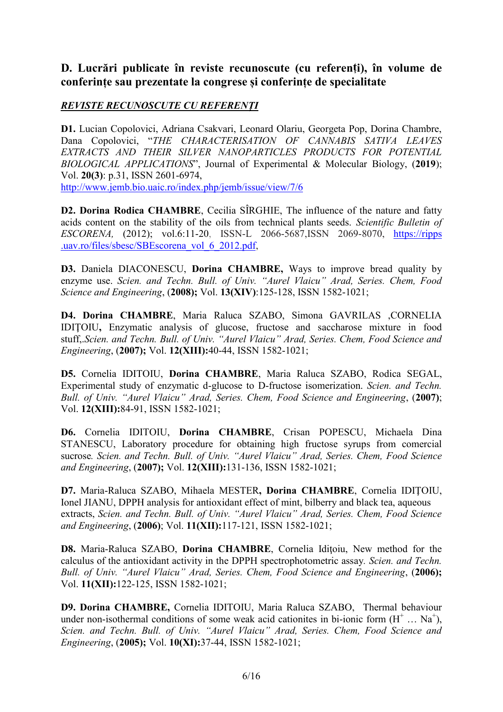# **D. Lucrări publicate în reviste recunoscute (cu referenți), în volume de conferințe sau prezentate la congrese și conferințe de specialitate**

#### *REVISTE RECUNOSCUTE CU REFERENȚI*

**D1.** Lucian Copolovici, Adriana Csakvari, Leonard Olariu, Georgeta Pop, Dorina Chambre, Dana Copolovici, "*THE CHARACTERISATION OF CANNABIS SATIVA LEAVES EXTRACTS AND THEIR SILVER NANOPARTICLES PRODUCTS FOR POTENTIAL BIOLOGICAL APPLICATIONS*", Journal of Experimental & Molecular Biology, (**2019**); Vol. **20(3)**: p.31, ISSN 2601-6974,

http://www.jemb.bio.uaic.ro/index.php/jemb/issue/view/7/6

**D2. Dorina Rodica CHAMBRE**, Cecilia SÎRGHIE, The influence of the nature and fatty acids content on the stability of the oils from technical plants seeds. *Scientific Bulletin of ESCORENA,* (2012); vol.6:11-20, ISSN-L 2066-5687,ISSN 2069-8070, https://ripps .uav.ro/files/sbesc/SBEscorena\_vol\_6\_2012.pdf,

**D3.** Daniela DIACONESCU, **Dorina CHAMBRE,** Ways to improve bread quality by enzyme use. *Scien. and Techn. Bull. of Univ. "Aurel Vlaicu" Arad, Series. Chem, Food Science and Engineering*, (**2008);** Vol. **13(XIV)**:125-128, ISSN 1582-1021;

**D4. Dorina CHAMBRE**, Maria Raluca SZABO, Simona GAVRILAS ,CORNELIA IDIŢOIU**,** Enzymatic analysis of glucose, fructose and saccharose mixture in food stuff,.*Scien. and Techn. Bull. of Univ. "Aurel Vlaicu" Arad, Series. Chem, Food Science and Engineering*, (**2007);** Vol. **12(XIII):**40-44, ISSN 1582-1021;

**D5.** Cornelia IDITOIU, **Dorina CHAMBRE**, Maria Raluca SZABO, Rodica SEGAL, Experimental study of enzymatic d-glucose to D-fructose isomerization. *Scien. and Techn. Bull. of Univ. "Aurel Vlaicu" Arad, Series. Chem, Food Science and Engineering*, (**2007)**; Vol. **12(XIII):**84-91, ISSN 1582-1021;

**D6.** Cornelia IDITOIU, **Dorina CHAMBRE**, Crisan POPESCU, Michaela Dina STANESCU, Laboratory procedure for obtaining high fructose syrups from comercial sucrose*. Scien. and Techn. Bull. of Univ. "Aurel Vlaicu" Arad, Series. Chem, Food Science and Engineering*, (**2007);** Vol. **12(XIII):**131-136, ISSN 1582-1021;

**D7.** Maria-Raluca SZABO, Mihaela MESTER**, Dorina CHAMBRE**, Cornelia IDIŢOIU, Ionel JIANU, DPPH analysis for antioxidant effect of mint, bilberry and black tea, aqueous extracts, *Scien. and Techn. Bull. of Univ. "Aurel Vlaicu" Arad, Series. Chem, Food Science and Engineering*, (**2006)**; Vol. **11(XII):**117-121, ISSN 1582-1021;

**D8.** Maria-Raluca SZABO, **Dorina CHAMBRE**, Cornelia Idiţoiu, New method for the calculus of the antioxidant activity in the DPPH spectrophotometric assay*. Scien. and Techn. Bull. of Univ. "Aurel Vlaicu" Arad, Series. Chem, Food Science and Engineering*, (**2006);** Vol. **11(XII):**122-125, ISSN 1582-1021;

**D9. Dorina CHAMBRE,** Cornelia IDITOIU, Maria Raluca SZABO, Thermal behaviour under non-isothermal conditions of some weak acid cationites in bi-ionic form  $(H^+ \dots Na^+)$ , *Scien. and Techn. Bull. of Univ. "Aurel Vlaicu" Arad, Series. Chem, Food Science and Engineering*, (**2005);** Vol. **10(XI):**37-44, ISSN 1582-1021;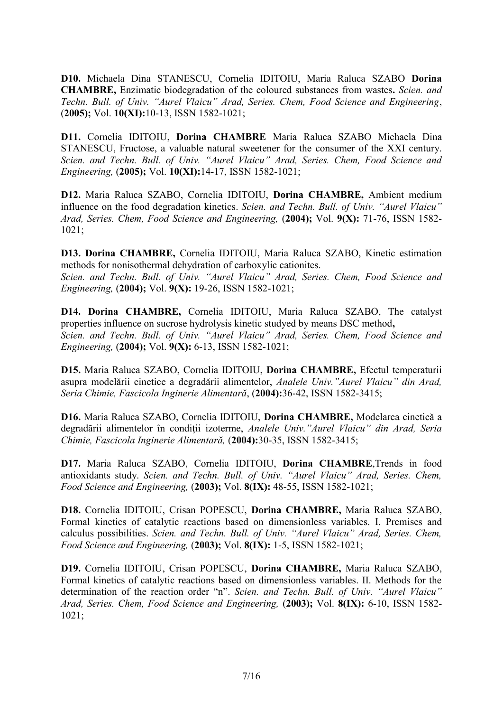**D10.** Michaela Dina STANESCU, Cornelia IDITOIU, Maria Raluca SZABO **Dorina CHAMBRE,** Enzimatic biodegradation of the coloured substances from wastes**.** *Scien. and Techn. Bull. of Univ. "Aurel Vlaicu" Arad, Series. Chem, Food Science and Engineering*, (**2005);** Vol. **10(XI):**10-13, ISSN 1582-1021;

**D11.** Cornelia IDITOIU, **Dorina CHAMBRE** Maria Raluca SZABO Michaela Dina STANESCU, Fructose, a valuable natural sweetener for the consumer of the XXI century. *Scien. and Techn. Bull. of Univ. "Aurel Vlaicu" Arad, Series. Chem, Food Science and Engineering,* (**2005);** Vol. **10(XI):**14-17, ISSN 1582-1021;

**D12.** Maria Raluca SZABO, Cornelia IDITOIU, **Dorina CHAMBRE,** Ambient medium influence on the food degradation kinetics. *Scien. and Techn. Bull. of Univ. "Aurel Vlaicu" Arad, Series. Chem, Food Science and Engineering,* (**2004);** Vol. **9(X):** 71-76, ISSN 1582- 1021;

**D13. Dorina CHAMBRE,** Cornelia IDITOIU, Maria Raluca SZABO, Kinetic estimation methods for nonisothermal dehydration of carboxylic cationites.

*Scien. and Techn. Bull. of Univ. "Aurel Vlaicu" Arad, Series. Chem, Food Science and Engineering,* (**2004);** Vol. **9(X):** 19-26, ISSN 1582-1021;

**D14. Dorina CHAMBRE,** Cornelia IDITOIU, Maria Raluca SZABO, The catalyst properties influence on sucrose hydrolysis kinetic studyed by means DSC method**,** *Scien. and Techn. Bull. of Univ. "Aurel Vlaicu" Arad, Series. Chem, Food Science and Engineering,* (**2004);** Vol. **9(X):** 6-13, ISSN 1582-1021;

**D15.** Maria Raluca SZABO, Cornelia IDITOIU, **Dorina CHAMBRE,** Efectul temperaturii asupra modelării cinetice a degradării alimentelor, *Analele Univ."Aurel Vlaicu" din Arad, Seria Chimie, Fascicola Inginerie Alimentară*, (**2004):**36-42, ISSN 1582-3415;

**D16.** Maria Raluca SZABO, Cornelia IDITOIU, **Dorina CHAMBRE,** Modelarea cinetică a degradării alimentelor în condiţii izoterme, *Analele Univ."Aurel Vlaicu" din Arad, Seria Chimie, Fascicola Inginerie Alimentară,* (**2004):**30-35, ISSN 1582-3415;

**D17.** Maria Raluca SZABO, Cornelia IDITOIU, **Dorina CHAMBRE**,Trends in food antioxidants study. *Scien. and Techn. Bull. of Univ. "Aurel Vlaicu" Arad, Series. Chem, Food Science and Engineering,* (**2003);** Vol. **8(IX):** 48-55, ISSN 1582-1021;

**D18.** Cornelia IDITOIU, Crisan POPESCU, **Dorina CHAMBRE,** Maria Raluca SZABO, Formal kinetics of catalytic reactions based on dimensionless variables. I. Premises and calculus possibilities. *Scien. and Techn. Bull. of Univ. "Aurel Vlaicu" Arad, Series. Chem, Food Science and Engineering,* (**2003);** Vol. **8(IX):** 1-5, ISSN 1582-1021;

**D19.** Cornelia IDITOIU, Crisan POPESCU, **Dorina CHAMBRE,** Maria Raluca SZABO, Formal kinetics of catalytic reactions based on dimensionless variables. II. Methods for the determination of the reaction order "n". *Scien. and Techn. Bull. of Univ. "Aurel Vlaicu" Arad, Series. Chem, Food Science and Engineering,* (**2003);** Vol. **8(IX):** 6-10, ISSN 1582- 1021;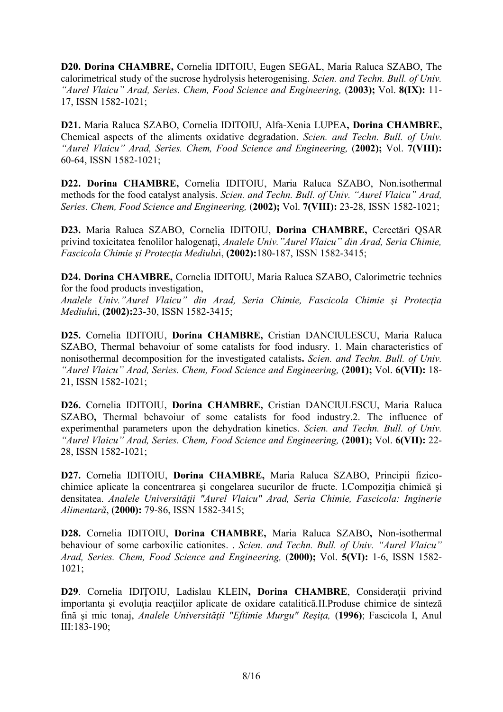**D20. Dorina CHAMBRE,** Cornelia IDITOIU, Eugen SEGAL, Maria Raluca SZABO, The calorimetrical study of the sucrose hydrolysis heterogenising. *Scien. and Techn. Bull. of Univ. "Aurel Vlaicu" Arad, Series. Chem, Food Science and Engineering,* (**2003);** Vol. **8(IX):** 11- 17, ISSN 1582-1021;

**D21.** Maria Raluca SZABO, Cornelia IDITOIU, Alfa-Xenia LUPEA**, Dorina CHAMBRE,** Chemical aspects of the aliments oxidative degradation. *Scien. and Techn. Bull. of Univ. "Aurel Vlaicu" Arad, Series. Chem, Food Science and Engineering,* (**2002);** Vol. **7(VIII):** 60-64, ISSN 1582-1021;

**D22. Dorina CHAMBRE,** Cornelia IDITOIU, Maria Raluca SZABO, Non.isothermal methods for the food catalyst analysis. *Scien. and Techn. Bull. of Univ. "Aurel Vlaicu" Arad, Series. Chem, Food Science and Engineering,* (**2002);** Vol. **7(VIII):** 23-28, ISSN 1582-1021;

**D23.** Maria Raluca SZABO, Cornelia IDITOIU, **Dorina CHAMBRE,** Cercetări QSAR privind toxicitatea fenolilor halogenaţi, *Analele Univ."Aurel Vlaicu" din Arad, Seria Chimie, Fascicola Chimie şi Protecţia Mediulu*i, **(2002):**180-187, ISSN 1582-3415;

**D24. Dorina CHAMBRE,** Cornelia IDITOIU, Maria Raluca SZABO, Calorimetric technics for the food products investigation,

*Analele Univ."Aurel Vlaicu" din Arad, Seria Chimie, Fascicola Chimie şi Protecţia Mediulu*i, **(2002):**23-30, ISSN 1582-3415;

**D25.** Cornelia IDITOIU, **Dorina CHAMBRE,** Cristian DANCIULESCU, Maria Raluca SZABO, Thermal behavoiur of some catalists for food indusry. 1. Main characteristics of nonisothermal decomposition for the investigated catalists**.** *Scien. and Techn. Bull. of Univ. "Aurel Vlaicu" Arad, Series. Chem, Food Science and Engineering,* (**2001);** Vol. **6(VII):** 18- 21, ISSN 1582-1021;

**D26.** Cornelia IDITOIU, **Dorina CHAMBRE,** Cristian DANCIULESCU, Maria Raluca SZABO**,** Thermal behavoiur of some catalists for food industry.2. The influence of experimenthal parameters upon the dehydration kinetics. *Scien. and Techn. Bull. of Univ. "Aurel Vlaicu" Arad, Series. Chem, Food Science and Engineering,* (**2001);** Vol. **6(VII):** 22- 28, ISSN 1582-1021;

**D27.** Cornelia IDITOIU, **Dorina CHAMBRE,** Maria Raluca SZABO, Principii fizico chimice aplicate la concentrarea şi congelarea sucurilor de fructe. I.Compoziţia chimică şi densitatea. *Analele Universităţii "Aurel Vlaicu" Arad, Seria Chimie, Fascicola: Inginerie Alimentară*, (**2000):** 79-86, ISSN 1582-3415;

**D28.** Cornelia IDITOIU, **Dorina CHAMBRE,** Maria Raluca SZABO**,** Non-isothermal behaviour of some carboxilic cationites. . *Scien. and Techn. Bull. of Univ. "Aurel Vlaicu" Arad, Series. Chem, Food Science and Engineering,* (**2000);** Vol. **5(VI):** 1-6, ISSN 1582- 1021;

**D29**. Cornelia IDIŢOIU, Ladislau KLEIN**, Dorina CHAMBRE**, Consideraţii privind importanta și evoluția reacțiilor aplicate de oxidare catalitică.II.Produse chimice de sinteză fină şi mic tonaj, *Analele Universităţii "Eftimie Murgu" Reşiţa,* (**1996)**; Fascicola I, Anul III:183-190;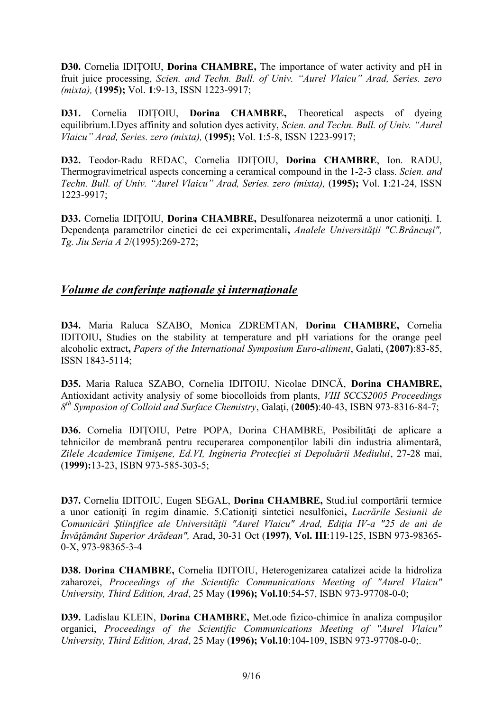**D30.** Cornelia IDIŢOIU, **Dorina CHAMBRE,** The importance of water activity and pH in fruit juice processing, *Scien. and Techn. Bull. of Univ. "Aurel Vlaicu" Arad, Series. zero (mixta),* (**1995);** Vol. **1**:9-13, ISSN 1223-9917;

**D31.** Cornelia IDITOIU, **Dorina CHAMBRE**, Theoretical aspects of dyeing equilibrium.I.Dyes affinity and solution dyes activity, *Scien. and Techn. Bull. of Univ. "Aurel Vlaicu" Arad, Series. zero (mixta),* (**1995);** Vol. **1**:5-8, ISSN 1223-9917;

**D32.** Teodor-Radu REDAC, Cornelia IDIŢOIU, **Dorina CHAMBRE**, Ion. RADU, Thermogravimetrical aspects concerning a ceramical compound in the 1-2-3 class. *Scien. and Techn. Bull. of Univ. "Aurel Vlaicu" Arad, Series. zero (mixta),* (**1995);** Vol. **1**:21-24, ISSN 1223-9917;

**D33.** Cornelia IDIŢOIU, **Dorina CHAMBRE,** Desulfonarea neizotermă a unor cationiţi. I. Dependenţa parametrilor cinetici de cei experimentali**,** *Analele Universităţii "C.Brâncuşi", Tg. Jiu Seria A 2*/(1995):269-272;

### *Volume de conferințe naționale și internaționale*

**D34.** Maria Raluca SZABO, Monica ZDREMTAN, **Dorina CHAMBRE,** Cornelia IDITOIU**,** Studies on the stability at temperature and pH variations for the orange peel alcoholic extract**,** *Papers of the International Symposium Euro-aliment*, Galati, (**2007)**:83-85, ISSN 1843-5114;

**D35.** Maria Raluca SZABO, Cornelia IDITOIU, Nicolae DINCĂ, **Dorina CHAMBRE,** Antioxidant activity analysiy of some biocolloids from plants, *VIII SCCS2005 Proceedings 8 th Symposion of Colloid and Surface Chemistry*, Galaţi, (**2005)**:40-43, ISBN 973-8316-84-7;

D36. Cornelia IDITOIU, Petre POPA, Dorina CHAMBRE, Posibilități de aplicare a tehnicilor de membrană pentru recuperarea componenților labili din industria alimentară, *Zilele Academice Timişene, Ed.VI, Ingineria Protecţiei si Depoluării Mediului*, 27-28 mai, (**1999):**13-23, ISBN 973-585-303-5;

**D37.** Cornelia IDITOIU, Eugen SEGAL, **Dorina CHAMBRE,** Stud.iul comportării termice a unor cationiţi în regim dinamic. 5.Cationiţi sintetici nesulfonici**,** *Lucrările Sesiunii de Comunicări Ştiinţifice ale Universităţii "Aurel Vlaicu" Arad, Ediţia IV-a "25 de ani de Învăţământ Superior Arădean",* Arad, 30-31 Oct (**1997)**, **Vol. III**:119-125, ISBN 973-98365- 0-X, 973-98365-3-4

**D38. Dorina CHAMBRE,** Cornelia IDITOIU, Heterogenizarea catalizei acide la hidroliza zaharozei, *Proceedings of the Scientific Communications Meeting of "Aurel Vlaicu" University, Third Edition, Arad*, 25 May (**1996); Vol.10**:54-57, ISBN 973-97708-0-0;

**D39.** Ladislau KLEIN, **Dorina CHAMBRE,** Met.ode fizico-chimice în analiza compuşilor organici, *Proceedings of the Scientific Communications Meeting of "Aurel Vlaicu" University, Third Edition, Arad*, 25 May (**1996); Vol.10**:104-109, ISBN 973-97708-0-0;.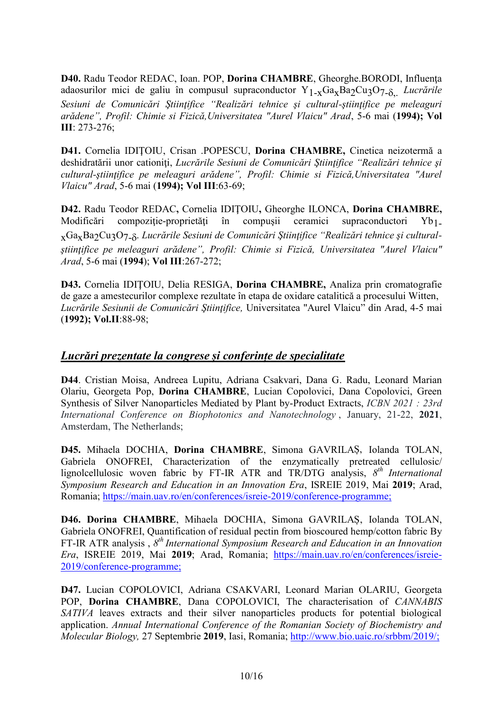**D40.** Radu Teodor REDAC, Ioan. POP, **Dorina CHAMBRE**, Gheorghe.BORODI, Influenţa adaosurilor mici de galiu în compusul supraconductor Y<sub>1-x</sub>Ga<sub>x</sub>Ba<sub>2</sub>Cu<sub>3</sub>O<sub>7-</sub><sub>8</sub> *Lucrările Sesiuni de Comunicări Ştiinţifice "Realizări tehnice şi cultural-ştiinţifice pe meleaguri arădene", Profil: Chimie si Fizică,Universitatea "Aurel Vlaicu" Arad*, 5-6 mai (**1994); Vol III**: 273-276;

**D41.** Cornelia IDIŢOIU, Crisan .POPESCU, **Dorina CHAMBRE,** Cinetica neizotermă a deshidratării unor cationiţi, *Lucrările Sesiuni de Comunicări Ştiinţifice "Realizări tehnice şi cultural-ştiinţifice pe meleaguri arădene", Profil: Chimie si Fizică,Universitatea "Aurel Vlaicu" Arad*, 5-6 mai (**1994); Vol III**:63-69;

**D42.** Radu Teodor REDAC**,** Cornelia IDIŢOIU**,** Gheorghe ILONCA, **Dorina CHAMBRE,** Modificări compoziție-proprietăți în compusii ceramici supraconductori Yb<sub>1</sub>. xGaxBa2Cu3O7- . *Lucrările Sesiuni de Comunicări Ştiinţifice "Realizări tehnice şi cultural ştiinţifice pe meleaguri arădene", Profil: Chimie si Fizică, Universitatea "Aurel Vlaicu" Arad*, 5-6 mai (**1994**); **Vol III**:267-272;

**D43.** Cornelia IDIŢOIU, Delia RESIGA, **Dorina CHAMBRE,** Analiza prin cromatografie de gaze a amestecurilor complexe rezultate în etapa de oxidare catalitică a procesului Witten, *Lucrările Sesiunii de Comunicări Ştiinţifice,* Universitatea "Aurel Vlaicu" din Arad, 4-5 mai (**1992); Vol.II**:88-98;

#### *Lucrări prezentate la congrese și conferințe de specialitate*

**D44**. Cristian Moisa, Andreea Lupitu, Adriana Csakvari, Dana G. Radu, Leonard Marian Olariu, Georgeta Pop, **Dorina CHAMBRE**, Lucian Copolovici, Dana Copolovici, Green Synthesis of Silver Nanoparticles Mediated by Plant by-Product Extracts, *ICBN 2021 : 23rd International Conference on Biophotonics and Nanotechnology* , January, 21-22, **2021**, Amsterdam, The Netherlands;

**D45.** Mihaela DOCHIA, **Dorina CHAMBRE**, Simona GAVRILAȘ, Iolanda TOLAN, Gabriela ONOFREI, Characterization of the enzymatically pretreated cellulosic/ lignolcellulosic woven fabric by FT-IR ATR and TR/DTG analysis,  $8^{th}$  *International Symposium Research and Education in an Innovation Era*, ISREIE 2019, Mai **2019**; Arad, Romania; https://main.uav.ro/en/conferences/isreie-2019/conference-programme;

**D46. Dorina CHAMBRE**, Mihaela DOCHIA, Simona GAVRILAȘ, Iolanda TOLAN, Gabriela ONOFREI, Quantification of residual pectin from bioscoured hemp/cotton fabric By FT-IR ATR analysis , *8 th International Symposium Research and Education in an Innovation Era*, ISREIE 2019, Mai **2019**; Arad, Romania; https://main.uav.ro/en/conferences/isreie- 2019/conference-programme;

**D47.** Lucian COPOLOVICI, Adriana CSAKVARI, Leonard Marian OLARIU, Georgeta POP, **Dorina CHAMBRE**, Dana COPOLOVICI, The characterisation of *CANNABIS SATIVA* leaves extracts and their silver nanoparticles products for potential biological application. *Annual International Conference of the Romanian Society of Biochemistry and Molecular Biology,* 27 Septembrie **2019**, Iasi, Romania; http://www.bio.uaic.ro/srbbm/2019/;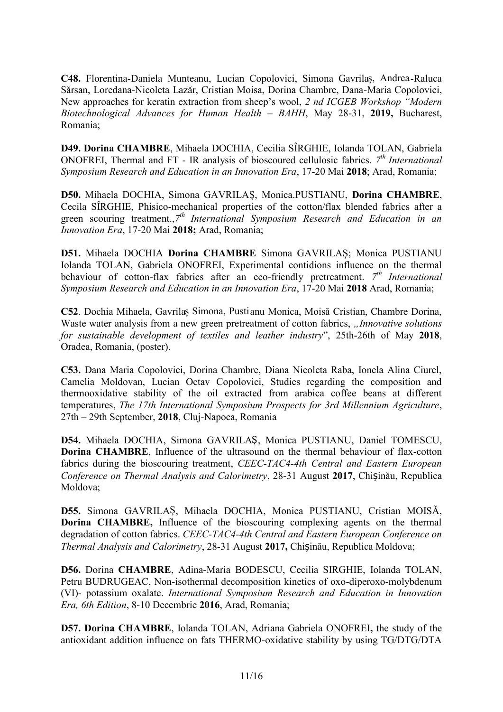**C48.** Florentina-Daniela Munteanu, Lucian Copolovici, Simona Gavrilaș, Andrea-Raluca Sărsan, Loredana-Nicoleta Lazăr, Cristian Moisa, Dorina Chambre, Dana-Maria Copolovici, New approaches for keratin extraction from sheep's wool, *2 nd ICGEB Workshop "Modern Biotechnological Advances for Human Health – BAHH*, May 28-31, **2019,** Bucharest, Romania;

**D49. Dorina CHAMBRE**, Mihaela DOCHIA, Cecilia SÎRGHIE, Iolanda TOLAN, Gabriela ONOFREI, Thermal and FT - IR analysis of bioscoured cellulosic fabrics. *7 th International Symposium Research and Education in an Innovation Era*, 17-20 Mai **2018**; Arad, Romania;

**D50.** Mihaela DOCHIA, Simona GAVRILAȘ, Monica.PUSTIANU, **Dorina CHAMBRE**, Cecila SÎRGHIE, Phisico-mechanical properties of the cotton/flax blended fabrics after a green scouring treatment.,*7 th International Symposium Research and Education in an Innovation Era*, 17-20 Mai **2018;** Arad, Romania;

**D51.** Mihaela DOCHIA **Dorina CHAMBRE** Simona GAVRILAȘ; Monica PUSTIANU Iolanda TOLAN, Gabriela ONOFREI, Experimental contidions influence on the thermal behaviour of cotton-flax fabrics after an eco-friendly pretreatment. 7<sup>th</sup> International *Symposium Research and Education in an Innovation Era*, 17-20 Mai **2018** Arad, Romania;

**C52**. Dochia Mihaela, Gavrilaș Simona, Pustianu Monica, Moisă Cristian, Chambre Dorina, Waste water analysis from a new green pretreatment of cotton fabrics, *"Innovative solutions for sustainable development of textiles and leather industry*", 25th-26th of May **2018**, Oradea, Romania, (poster).

**C53.** Dana Maria Copolovici, Dorina Chambre, Diana Nicoleta Raba, Ionela Alina Ciurel, Camelia Moldovan, Lucian Octav Copolovici, Studies regarding the composition and thermooxidative stability of the oil extracted from arabica coffee beans at different temperatures, *The 17th International Symposium Prospects for 3rd Millennium Agriculture*, 27th – 29th September, **2018**, Cluj-Napoca, Romania

**D54.** Mihaela DOCHIA, Simona GAVRILAȘ, Monica PUSTIANU, Daniel TOMESCU, **Dorina CHAMBRE**, Influence of the ultrasound on the thermal behaviour of flax-cotton fabrics during the bioscouring treatment, *CEEC-TAC4-4th Central and Eastern European Conference on Thermal Analysis and Calorimetry*, 28-31 August **2017**, Chișinău, Republica Moldova;

**D55.** Simona GAVRILAȘ, Mihaela DOCHIA, Monica PUSTIANU, Cristian MOISĂ, **Dorina CHAMBRE,** Influence of the bioscouring complexing agents on the thermal degradation of cotton fabrics. *CEEC-TAC4-4th Central and Eastern European Conference on Thermal Analysis and Calorimetry*, 28-31 August **2017,** Chișinău, Republica Moldova;

**D56.** Dorina **CHAMBRE**, Adina-Maria BODESCU, Cecilia SIRGHIE, Iolanda TOLAN, Petru BUDRUGEAC, Non-isothermal decomposition kinetics of oxo-diperoxo-molybdenum (VI)- potassium oxalate. *International Symposium Research and Education in Innovation Era, 6th Edition*, 8-10 Decembrie **2016**, Arad, Romania;

**D57. Dorina CHAMBRE**, Iolanda TOLAN, Adriana Gabriela ONOFREI**,** the study of the antioxidant addition influence on fats THERMO-oxidative stability by using TG/DTG/DTA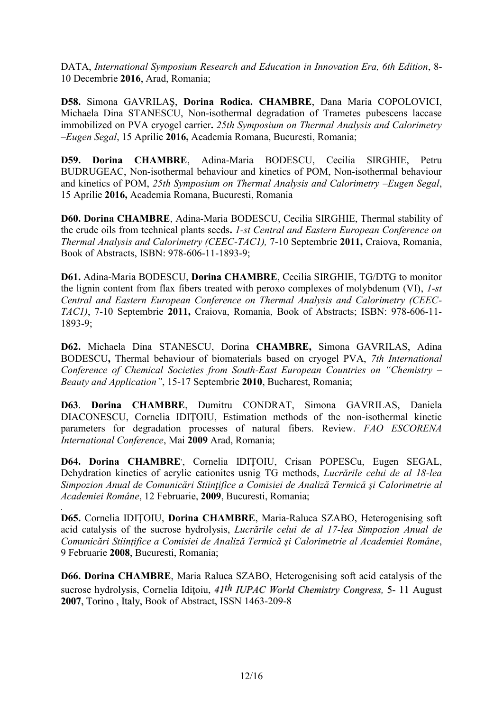DATA, *International Symposium Research and Education in Innovation Era, 6th Edition*, 8- 10 Decembrie **2016**, Arad, Romania;

**D58.** Simona GAVRILAŞ, **Dorina Rodica. CHAMBRE**, Dana Maria COPOLOVICI, Michaela Dina STANESCU, Non-isothermal degradation of Trametes pubescens laccase immobilized on PVA cryogel carrier**.** *25th Symposium on Thermal Analysis and Calorimetry –Eugen Segal*, 15 Aprilie **2016,** Academia Romana, Bucuresti, Romania;

**D59. Dorina CHAMBRE**, Adina-Maria BODESCU, Cecilia SIRGHIE, Petru BUDRUGEAC, Non-isothermal behaviour and kinetics of POM, Non-isothermal behaviour and kinetics of POM, *25th Symposium on Thermal Analysis and Calorimetry –Eugen Segal*, 15 Aprilie **2016,** Academia Romana, Bucuresti, Romania

**D60. Dorina CHAMBRE**, Adina-Maria BODESCU, Cecilia SIRGHIE, Thermal stability of the crude oils from technical plants seeds**.** *1-st Central and Eastern European Conference on Thermal Analysis and Calorimetry (CEEC-TAC1),* 7-10 Septembrie **2011,** Craiova, Romania, Book of Abstracts, ISBN: 978-606-11-1893-9;

**D61.** Adina-Maria BODESCU, **Dorina CHAMBRE**, Cecilia SIRGHIE, TG/DTG to monitor the lignin content from flax fibers treated with peroxo complexes of molybdenum (VI), *1-st Central and Eastern European Conference on Thermal Analysis and Calorimetry (CEEC- TAC1)*, 7-10 Septembrie **2011,** Craiova, Romania, Book of Abstracts; ISBN: 978-606-11- 1893-9;

**D62.** Michaela Dina STANESCU, Dorina **CHAMBRE,** Simona GAVRILAS, Adina BODESCU**,** Thermal behaviour of biomaterials based on cryogel PVA, *7th International Conference of Chemical Societies from South-East European Countries on "Chemistry – Beauty and Application"*, 15-17 Septembrie **2010**, Bucharest, Romania;

**D63**. **Dorina CHAMBRE**, Dumitru CONDRAT, Simona GAVRILAS, Daniela DIACONESCU, Cornelia IDIŢOIU, Estimation methods of the non-isothermal kinetic parameters for degradation processes of natural fibers. Review. *FAO ESCORENA International Conference*, Mai **2009** Arad, Romania;

**D64. Dorina CHAMBRE** ,, Cornelia IDIŢOIU, Crisan POPESCu, Eugen SEGAL, Dehydration kinetics of acrylic cationites usnig TG methods, *Lucrările celui de al 18-lea Simpozion Anual de Comunicări Stiinţifice a Comisiei de Analiză Termică şi Calorimetrie al Academiei Române*, 12 Februarie, **2009**, Bucuresti, Romania;

*.***D65.** Cornelia IDIŢOIU, **Dorina CHAMBRE**, Maria-Raluca SZABO, Heterogenising soft acid catalysis of the sucrose hydrolysis, *Lucrările celui de al 17-lea Simpozion Anual de Comunicări Stiinţifice a Comisiei de Analiză Termică şi Calorimetrie al Academiei Române*, 9 Februarie **2008**, Bucuresti, Romania;

**D66. Dorina CHAMBRE**, Maria Raluca SZABO, Heterogenising soft acid catalysis of the sucrose hydrolysis, Cornelia Idiţoiu, *41th IUPAC World Chemistry Congress,* 5- 11 August **2007**, Torino , Italy, Book of Abstract, ISSN 1463-209-8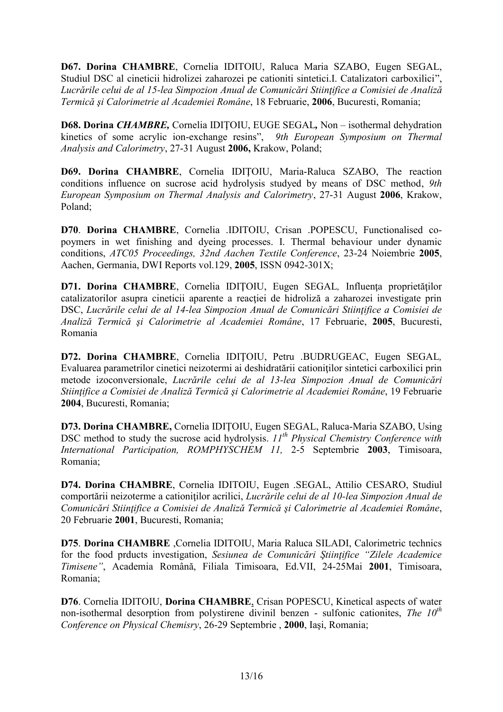**D67. Dorina CHAMBRE**, Cornelia IDITOIU, Raluca Maria SZABO, Eugen SEGAL, Studiul DSC al cineticii hidrolizei zaharozei pe cationiti sintetici.I. Catalizatori carboxilici", *Lucrările celui de al 15-lea Simpozion Anual de Comunicări Stiinţifice a Comisiei de Analiză Termică şi Calorimetrie al Academiei Române*, 18 Februarie, **2006**, Bucuresti, Romania;

**D68. Dorina** *CHAMBRE,* Cornelia IDIŢOIU, EUGE SEGAL*,* Non – isothermal dehydration kinetics of some acrylic ion-exchange resins", *9th European Symposium on Thermal Analysis and Calorimetry*, 27-31 August **2006,** Krakow, Poland;

**D69. Dorina CHAMBRE**, Cornelia IDIŢOIU, Maria-Raluca SZABO, The reaction conditions influence on sucrose acid hydrolysis studyed by means of DSC method, *9th European Symposium on Thermal Analysis and Calorimetry*, 27-31 August **2006**, Krakow, Poland;

**D70**. **Dorina CHAMBRE**, Cornelia .IDITOIU, Crisan .POPESCU, Functionalised co poymers in wet finishing and dyeing processes. I. Thermal behaviour under dynamic conditions, *ATC05 Proceedings, 32nd Aachen Textile Conference*, 23-24 Noiembrie **2005**, Aachen, Germania, DWI Reports vol.129, **2005**, ISSN 0942-301X;

**D71. Dorina CHAMBRE**, Cornelia IDIŢOIU, Eugen SEGAL*,* Influenţa proprietăţilor catalizatorilor asupra cineticii aparente a reacției de hidroliză a zaharozei investigate prin DSC, *Lucrările celui de al 14-lea Simpozion Anual de Comunicări Stiintifice a Comisiei de Analiză Termică şi Calorimetrie al Academiei Române*, 17 Februarie, **2005**, Bucuresti, Romania

**D72. Dorina CHAMBRE**, Cornelia IDIŢOIU, Petru .BUDRUGEAC, Eugen SEGAL*,* Evaluarea parametrilor cinetici neizotermi ai deshidratării cationiţilor sintetici carboxilici prin metode izoconversionale, *Lucrările celui de al 13-lea Simpozion Anual de Comunicări Stiinţifice a Comisiei de Analiză Termică şi Calorimetrie al Academiei Române*, 19 Februarie **2004**, Bucuresti, Romania;

**D73. Dorina CHAMBRE,** Cornelia IDIŢOIU, Eugen SEGAL, Raluca-Maria SZABO, Using DSC method to study the sucrose acid hydrolysis. *11th Physical Chemistry Conference with International Participation, ROMPHYSCHEM 11,* 2-5 Septembrie **2003**, Timisoara, Romania;

**D74. Dorina CHAMBRE**, Cornelia IDITOIU, Eugen .SEGAL, Attilio CESARO, Studiul comportării neizoterme a cationiţilor acrilici, *Lucrările celui de al 10-lea Simpozion Anual de Comunicări Stiinţifice a Comisiei de Analiză Termică şi Calorimetrie al Academiei Române*, 20 Februarie **2001**, Bucuresti, Romania;

**D75**. **Dorina CHAMBRE** ,Cornelia IDITOIU, Maria Raluca SILADI, Calorimetric technics for the food prducts investigation, *Sesiunea de Comunicări Ştiinţifice "Zilele Academice Timisene"*, Academia Română, Filiala Timisoara, Ed.VII, 24-25Mai **2001**, Timisoara, Romania;

**D76**. Cornelia IDITOIU, **Dorina CHAMBRE**, Crisan POPESCU, Kinetical aspects of water non-isothermal desorption from polystirene divinil benzen - sulfonic cationites, *The 10th Conference on Physical Chemisry*, 26-29 Septembrie , **2000**, Iaşi, Romania;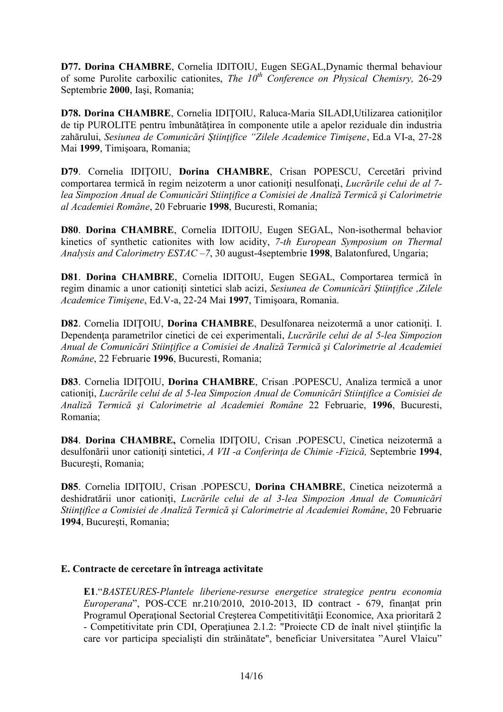**D77. Dorina CHAMBRE**, Cornelia IDITOIU, Eugen SEGAL,Dynamic thermal behaviour of some Purolite carboxilic cationites, *The 10th Conference on Physical Chemisry,* 26-29 Septembrie **2000**, Iaşi, Romania;

**D78. Dorina CHAMBRE**, Cornelia IDITOIU, Raluca-Maria SILADI,Utilizarea cationitilor de tip PUROLITE pentru îmbunătățirea în componente utile a apelor reziduale din industria zahărului, *Sesiunea de Comunicări Ştiinţifice "Zilele Academice Timişene*, Ed.a VI-a, 27-28 Mai **1999**, Timişoara, Romania;

**D79**. Cornelia IDIŢOIU, **Dorina CHAMBRE**, Crisan POPESCU, Cercetări privind comportarea termică în regim neizoterm a unor cationiți nesulfonați, *Lucrările celui de al* 7*lea Simpozion Anual de Comunicări Stiinţifice a Comisiei de Analiză Termică şi Calorimetrie al Academiei Române*, 20 Februarie **1998**, Bucuresti, Romania;

**D80**. **Dorina CHAMBRE**, Cornelia IDITOIU, Eugen SEGAL, Non-isothermal behavior kinetics of synthetic cationites with low acidity, *7-th European Symposium on Thermal Analysis and Calorimetry ESTAC –7*, 30 august-4septembrie **1998**, Balatonfured, Ungaria;

**D81**. **Dorina CHAMBRE**, Cornelia IDITOIU, Eugen SEGAL, Comportarea termică în regim dinamic a unor cationiţi sintetici slab acizi, *Sesiunea de Comunicări Ştiinţifice ,Zilele Academice Timişene*, Ed.V-a, 22-24 Mai **1997**, Timişoara, Romania.

**D82**. Cornelia IDIŢOIU, **Dorina CHAMBRE**, Desulfonarea neizotermă a unor cationiţi. I. Dependenţa parametrilor cinetici de cei experimentali, *Lucrările celui de al 5-lea Simpozion Anual de Comunicări Stiinţifice a Comisiei de Analiză Termică şi Calorimetrie al Academiei Române*, 22 Februarie **1996**, Bucuresti, Romania;

**D83**. Cornelia IDIŢOIU, **Dorina CHAMBRE**, Crisan .POPESCU, Analiza termică a unor cationiţi, *Lucrările celui de al 5-lea Simpozion Anual de Comunicări Stiinţifice a Comisiei de Analiză Termică şi Calorimetrie al Academiei Române* 22 Februarie, **1996**, Bucuresti, Romania;

**D84**. **Dorina CHAMBRE,** Cornelia IDIŢOIU, Crisan .POPESCU, Cinetica neizotermă a desulfonării unor cationiţi sintetici, *A VII -a Conferinţa de Chimie -Fizică,* Septembrie **1994**, Bucureşti, Romania;

**D85**. Cornelia IDIŢOIU, Crisan .POPESCU, **Dorina CHAMBRE**, Cinetica neizotermă a deshidratării unor cationiţi, *Lucrările celui de al 3-lea Simpozion Anual de Comunicări Stiinţifice a Comisiei de Analiză Termică şi Calorimetrie al Academiei Române*, 20 Februarie **1994**, Bucureşti, Romania;

#### **E. Contracte de cercetare în întreaga activitate**

**E1**."*BASTEURES-Plantele liberiene-resurse energetice strategice pentru economia Europerana*", POS-CCE nr.210/2010, 2010-2013, ID contract - 679, finanțat prin Programul Operațional Sectorial Creșterea Competitivității Economice, Axa prioritară 2 - Competitivitate prin CDI, Operaţiunea 2.1.2: "Proiecte CD de înalt nivel ştiinţific la care vor participa specialişti din străinătate", beneficiar Universitatea "Aurel Vlaicu"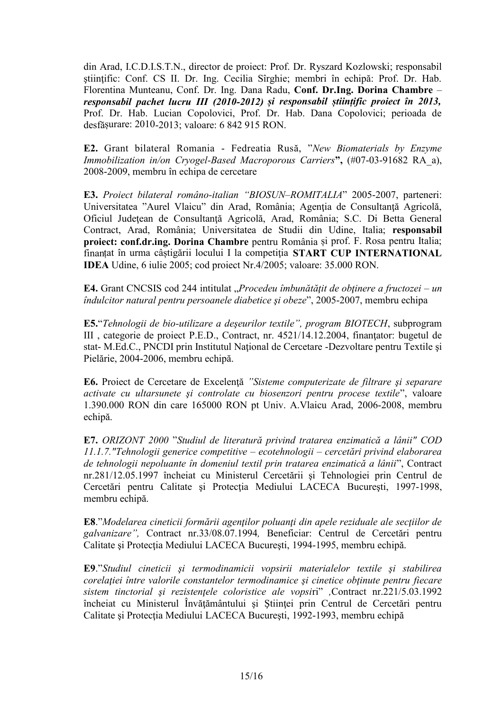din Arad, I.C.D.I.S.T.N., director de proiect: Prof. Dr. Ryszard Kozlowski; responsabil ştiinţific: Conf. CS II. Dr. Ing. Cecilia Sîrghie; membri în echipă: Prof. Dr. Hab. Florentina Munteanu, Conf. Dr. Ing. Dana Radu, **Conf. Dr.Ing. Dorina Chambre** – *responsabil pachet lucru III (2010-2012) și responsabil științific proiect în 2013,* Prof. Dr. Hab. Lucian Copolovici, Prof. Dr. Hab. Dana Copolovici; perioada de desfășurare: 2010-2013; valoare: 6 842 915 RON.

**E2.** Grant bilateral Romania - Fedreatia Rusă, "*New Biomaterials by Enzyme Immobilization in/on Cryogel-Based Macroporous Carriers***",** (#07-03-91682 RA\_a), 2008-2009, membru în echipa de cercetare

**E3.** *Proiect bilateral româno-italian "BIOSUN–ROMITALIA*" 2005-2007, parteneri: Universitatea "Aurel Vlaicu" din Arad, România; Agenția de Consultanță Agricolă, Oficiul Judeţean de Consultanţă Agricolă, Arad, România; S.C. Di Betta General Contract, Arad, România; Universitatea de Studii din Udine, Italia; **responsabil proiect: conf.dr.ing. Dorina Chambre** pentru România și prof. F. Rosa pentru Italia; finanțat în urma câștigării locului I la competiţia **START CUP INTERNATIONAL IDEA** Udine, 6 iulie 2005; cod proiect Nr.4/2005; valoare: 35.000 RON.

**E4.** Grant CNCSIS cod 244 intitulat "*Procedeu îmbunătăţit de obţinere a fructozei – un îndulcitor natural pentru persoanele diabetice şi obeze*", 2005-2007, membru echipa

**E5.**"*Tehnologii de bio-utilizare a deşeurilor textile", program BIOTECH*, subprogram III , categorie de proiect P.E.D., Contract, nr. 4521/14.12.2004, finanţator: bugetul de stat- M.Ed.C., PNCDI prin Institutul Naţional de Cercetare -Dezvoltare pentru Textile şi Pielărie, 2004-2006, membru echipă.

**E6.** Proiect de Cercetare de Excelenţă *"Sisteme computerizate de filtrare şi separare activate cu ultarsunete şi controlate cu biosenzori pentru procese textile*", valoare 1.390.000 RON din care 165000 RON pt Univ. A.Vlaicu Arad, 2006-2008, membru echipă.

**E7.** *ORIZONT 2000* "*Studiul de literatură privind tratarea enzimatică a lânii" COD 11.1.7."Tehnologii generice competitive – ecotehnologii – cercetări privind elaborarea de tehnologii nepoluante în domeniul textil prin tratarea enzimatică a lânii*", Contract nr.281/12.05.1997 încheiat cu Ministerul Cercetării şi Tehnologiei prin Centrul de Cercetări pentru Calitate și Protecția Mediului LACECA București, 1997-1998, membru echipă.

**E8**."*Modelarea cineticii formării agenţilor poluanţi din apele reziduale ale secţiilor de galvanizare",* Contract nr.33/08.07.1994*,* Beneficiar: Centrul de Cercetări pentru Calitate și Protecția Mediului LACECA București, 1994-1995, membru echipă.

**E9**."*Studiul cineticii şi termodinamicii vopsirii materialelor textile şi stabilirea corelaţiei între valorile constantelor termodinamice şi cinetice obţinute pentru fiecare sistem tinctorial şi rezistenţele coloristice ale vopsi*ri" *,*Contract nr.221/5.03.1992 încheiat cu Ministerul Învăţământului şi Ştiinţei prin Centrul de Cercetări pentru Calitate și Protecția Mediului LACECA București, 1992-1993, membru echipă